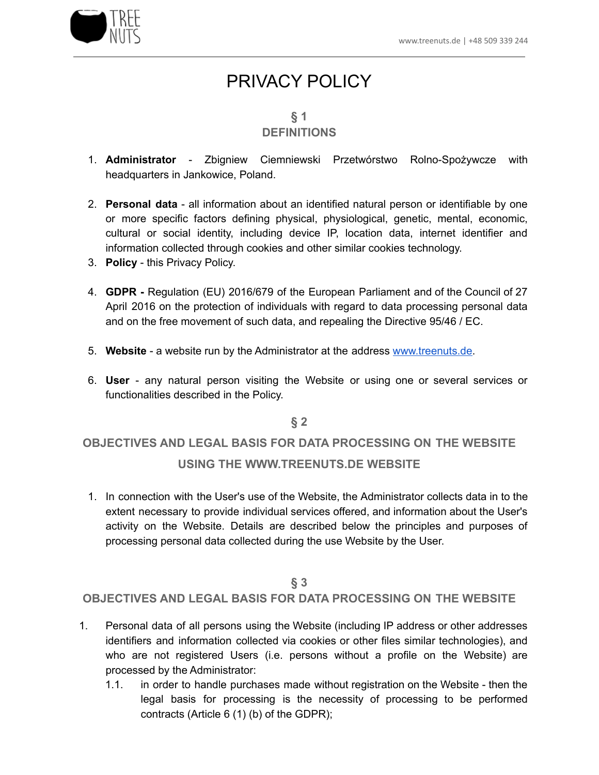

# PRIVACY POLICY

# **§ 1**

# **DEFINITIONS**

- 1. **Administrator** Zbigniew Ciemniewski Przetwórstwo Rolno-Spożywcze with headquarters in Jankowice, Poland.
- 2. **Personal data** all information about an identified natural person or identifiable by one or more specific factors defining physical, physiological, genetic, mental, economic, cultural or social identity, including device IP, location data, internet identifier and information collected through cookies and other similar cookies technology.
- 3. **Policy** this Privacy Policy.
- 4. **GDPR -** Regulation (EU) 2016/679 of the European Parliament and of the Council of 27 April 2016 on the protection of individuals with regard to data processing personal data and on the free movement of such data, and repealing the Directive 95/46 / EC.
- 5. **Website** a website run by the Administrator at the address [www.treenuts.de.](http://www.treenuts.de)
- 6. **User** any natural person visiting the Website or using one or several services or functionalities described in the Policy.

#### **§ 2**

# **OBJECTIVES AND LEGAL BASIS FOR DATA PROCESSING ON THE WEBSITE USING THE WWW.TREENUTS.DE WEBSITE**

1. In connection with the User's use of the Website, the Administrator collects data in to the extent necessary to provide individual services offered, and information about the User's activity on the Website. Details are described below the principles and purposes of processing personal data collected during the use Website by the User.

## **§ 3**

#### **OBJECTIVES AND LEGAL BASIS FOR DATA PROCESSING ON THE WEBSITE**

- 1. Personal data of all persons using the Website (including IP address or other addresses identifiers and information collected via cookies or other files similar technologies), and who are not registered Users (i.e. persons without a profile on the Website) are processed by the Administrator:
	- 1.1. in order to handle purchases made without registration on the Website then the legal basis for processing is the necessity of processing to be performed contracts (Article 6 (1) (b) of the GDPR);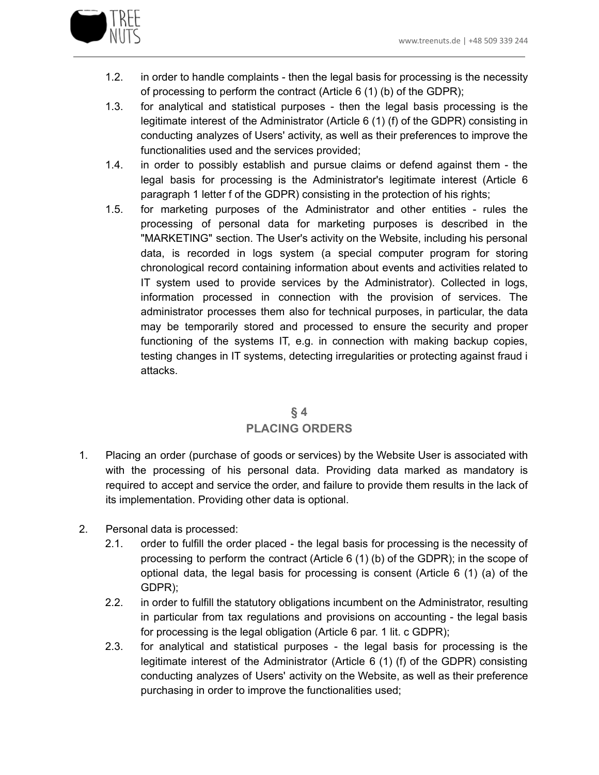

- 1.2. in order to handle complaints then the legal basis for processing is the necessity of processing to perform the contract (Article 6 (1) (b) of the GDPR);
- 1.3. for analytical and statistical purposes then the legal basis processing is the legitimate interest of the Administrator (Article 6 (1) (f) of the GDPR) consisting in conducting analyzes of Users' activity, as well as their preferences to improve the functionalities used and the services provided;
- 1.4. in order to possibly establish and pursue claims or defend against them the legal basis for processing is the Administrator's legitimate interest (Article 6 paragraph 1 letter f of the GDPR) consisting in the protection of his rights;
- 1.5. for marketing purposes of the Administrator and other entities rules the processing of personal data for marketing purposes is described in the "MARKETING" section. The User's activity on the Website, including his personal data, is recorded in logs system (a special computer program for storing chronological record containing information about events and activities related to IT system used to provide services by the Administrator). Collected in logs, information processed in connection with the provision of services. The administrator processes them also for technical purposes, in particular, the data may be temporarily stored and processed to ensure the security and proper functioning of the systems IT, e.g. in connection with making backup copies, testing changes in IT systems, detecting irregularities or protecting against fraud i attacks.

# **§ 4 PLACING ORDERS**

- 1. Placing an order (purchase of goods or services) by the Website User is associated with with the processing of his personal data. Providing data marked as mandatory is required to accept and service the order, and failure to provide them results in the lack of its implementation. Providing other data is optional.
- 2. Personal data is processed:
	- 2.1. order to fulfill the order placed the legal basis for processing is the necessity of processing to perform the contract (Article 6 (1) (b) of the GDPR); in the scope of optional data, the legal basis for processing is consent (Article 6 (1) (a) of the GDPR);
	- 2.2. in order to fulfill the statutory obligations incumbent on the Administrator, resulting in particular from tax regulations and provisions on accounting - the legal basis for processing is the legal obligation (Article 6 par. 1 lit. c GDPR);
	- 2.3. for analytical and statistical purposes the legal basis for processing is the legitimate interest of the Administrator (Article 6 (1) (f) of the GDPR) consisting conducting analyzes of Users' activity on the Website, as well as their preference purchasing in order to improve the functionalities used;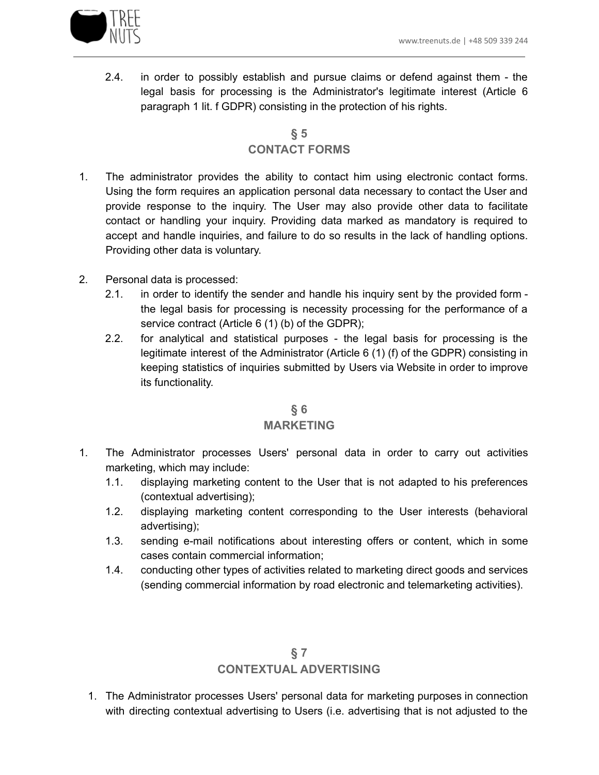

2.4. in order to possibly establish and pursue claims or defend against them - the legal basis for processing is the Administrator's legitimate interest (Article 6 paragraph 1 lit. f GDPR) consisting in the protection of his rights.

# **§ 5 CONTACT FORMS**

- 1. The administrator provides the ability to contact him using electronic contact forms. Using the form requires an application personal data necessary to contact the User and provide response to the inquiry. The User may also provide other data to facilitate contact or handling your inquiry. Providing data marked as mandatory is required to accept and handle inquiries, and failure to do so results in the lack of handling options. Providing other data is voluntary.
- 2. Personal data is processed:
	- 2.1. in order to identify the sender and handle his inquiry sent by the provided form the legal basis for processing is necessity processing for the performance of a service contract (Article 6 (1) (b) of the GDPR);
	- 2.2. for analytical and statistical purposes the legal basis for processing is the legitimate interest of the Administrator (Article 6 (1) (f) of the GDPR) consisting in keeping statistics of inquiries submitted by Users via Website in order to improve its functionality.

# **§ 6**

#### **MARKETING**

- 1. The Administrator processes Users' personal data in order to carry out activities marketing, which may include:
	- 1.1. displaying marketing content to the User that is not adapted to his preferences (contextual advertising);
	- 1.2. displaying marketing content corresponding to the User interests (behavioral advertising);
	- 1.3. sending e-mail notifications about interesting offers or content, which in some cases contain commercial information;
	- 1.4. conducting other types of activities related to marketing direct goods and services (sending commercial information by road electronic and telemarketing activities).

# **§ 7 CONTEXTUAL ADVERTISING**

1. The Administrator processes Users' personal data for marketing purposes in connection with directing contextual advertising to Users (i.e. advertising that is not adjusted to the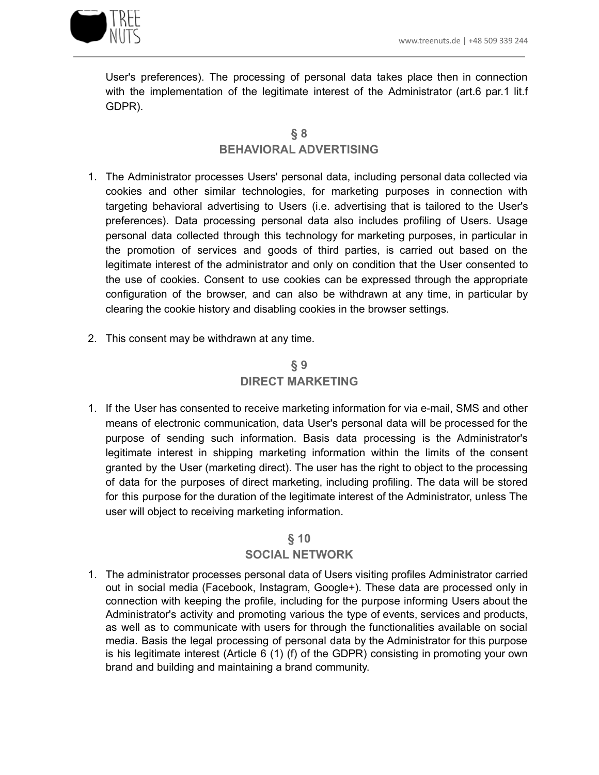

User's preferences). The processing of personal data takes place then in connection with the implementation of the legitimate interest of the Administrator (art.6 par.1 lit.f GDPR).

## **§ 8 BEHAVIORAL ADVERTISING**

- 1. The Administrator processes Users' personal data, including personal data collected via cookies and other similar technologies, for marketing purposes in connection with targeting behavioral advertising to Users (i.e. advertising that is tailored to the User's preferences). Data processing personal data also includes profiling of Users. Usage personal data collected through this technology for marketing purposes, in particular in the promotion of services and goods of third parties, is carried out based on the legitimate interest of the administrator and only on condition that the User consented to the use of cookies. Consent to use cookies can be expressed through the appropriate configuration of the browser, and can also be withdrawn at any time, in particular by clearing the cookie history and disabling cookies in the browser settings.
- 2. This consent may be withdrawn at any time.

# **§ 9 DIRECT MARKETING**

1. If the User has consented to receive marketing information for via e-mail, SMS and other means of electronic communication, data User's personal data will be processed for the purpose of sending such information. Basis data processing is the Administrator's legitimate interest in shipping marketing information within the limits of the consent granted by the User (marketing direct). The user has the right to object to the processing of data for the purposes of direct marketing, including profiling. The data will be stored for this purpose for the duration of the legitimate interest of the Administrator, unless The user will object to receiving marketing information.

#### **§ 10**

#### **SOCIAL NETWORK**

1. The administrator processes personal data of Users visiting profiles Administrator carried out in social media (Facebook, Instagram, Google+). These data are processed only in connection with keeping the profile, including for the purpose informing Users about the Administrator's activity and promoting various the type of events, services and products, as well as to communicate with users for through the functionalities available on social media. Basis the legal processing of personal data by the Administrator for this purpose is his legitimate interest (Article 6 (1) (f) of the GDPR) consisting in promoting your own brand and building and maintaining a brand community.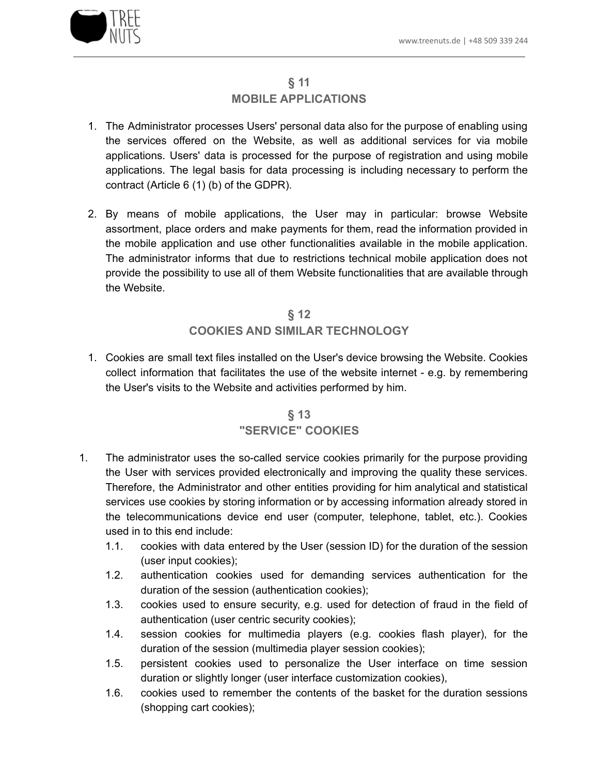

#### **§ 11 MOBILE APPLICATIONS**

- 1. The Administrator processes Users' personal data also for the purpose of enabling using the services offered on the Website, as well as additional services for via mobile applications. Users' data is processed for the purpose of registration and using mobile applications. The legal basis for data processing is including necessary to perform the contract (Article 6 (1) (b) of the GDPR).
- 2. By means of mobile applications, the User may in particular: browse Website assortment, place orders and make payments for them, read the information provided in the mobile application and use other functionalities available in the mobile application. The administrator informs that due to restrictions technical mobile application does not provide the possibility to use all of them Website functionalities that are available through the Website.

# **§ 12 COOKIES AND SIMILAR TECHNOLOGY**

1. Cookies are small text files installed on the User's device browsing the Website. Cookies collect information that facilitates the use of the website internet - e.g. by remembering the User's visits to the Website and activities performed by him.

# **§ 13 "SERVICE" COOKIES**

- 1. The administrator uses the so-called service cookies primarily for the purpose providing the User with services provided electronically and improving the quality these services. Therefore, the Administrator and other entities providing for him analytical and statistical services use cookies by storing information or by accessing information already stored in the telecommunications device end user (computer, telephone, tablet, etc.). Cookies used in to this end include:
	- 1.1. cookies with data entered by the User (session ID) for the duration of the session (user input cookies);
	- 1.2. authentication cookies used for demanding services authentication for the duration of the session (authentication cookies);
	- 1.3. cookies used to ensure security, e.g. used for detection of fraud in the field of authentication (user centric security cookies);
	- 1.4. session cookies for multimedia players (e.g. cookies flash player), for the duration of the session (multimedia player session cookies);
	- 1.5. persistent cookies used to personalize the User interface on time session duration or slightly longer (user interface customization cookies),
	- 1.6. cookies used to remember the contents of the basket for the duration sessions (shopping cart cookies);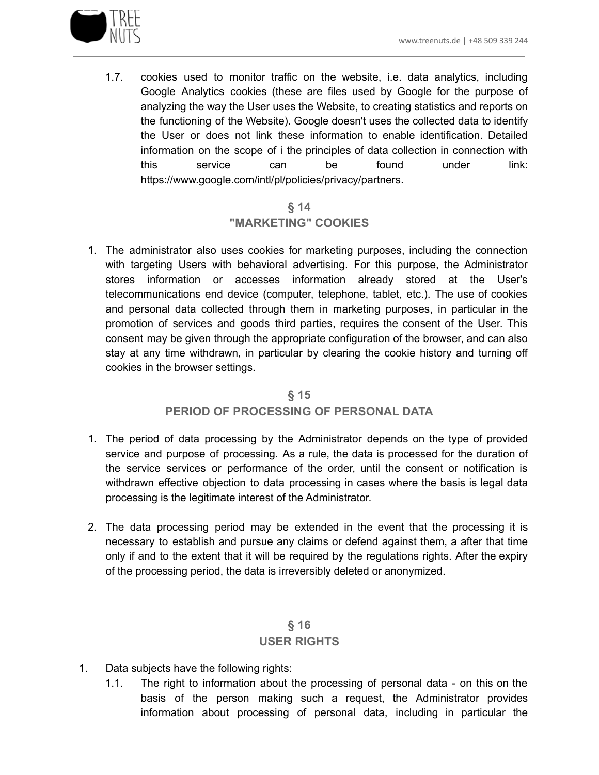

1.7. cookies used to monitor traffic on the website, i.e. data analytics, including Google Analytics cookies (these are files used by Google for the purpose of analyzing the way the User uses the Website, to creating statistics and reports on the functioning of the Website). Google doesn't uses the collected data to identify the User or does not link these information to enable identification. Detailed information on the scope of i the principles of data collection in connection with this service can be found under link: https://www.google.com/intl/pl/policies/privacy/partners.

## **§ 14 "MARKETING" COOKIES**

1. The administrator also uses cookies for marketing purposes, including the connection with targeting Users with behavioral advertising. For this purpose, the Administrator stores information or accesses information already stored at the User's telecommunications end device (computer, telephone, tablet, etc.). The use of cookies and personal data collected through them in marketing purposes, in particular in the promotion of services and goods third parties, requires the consent of the User. This consent may be given through the appropriate configuration of the browser, and can also stay at any time withdrawn, in particular by clearing the cookie history and turning off cookies in the browser settings.

#### **§ 15**

#### **PERIOD OF PROCESSING OF PERSONAL DATA**

- 1. The period of data processing by the Administrator depends on the type of provided service and purpose of processing. As a rule, the data is processed for the duration of the service services or performance of the order, until the consent or notification is withdrawn effective objection to data processing in cases where the basis is legal data processing is the legitimate interest of the Administrator.
- 2. The data processing period may be extended in the event that the processing it is necessary to establish and pursue any claims or defend against them, a after that time only if and to the extent that it will be required by the regulations rights. After the expiry of the processing period, the data is irreversibly deleted or anonymized.

## **§ 16 USER RIGHTS**

- 1. Data subjects have the following rights:
	- 1.1. The right to information about the processing of personal data on this on the basis of the person making such a request, the Administrator provides information about processing of personal data, including in particular the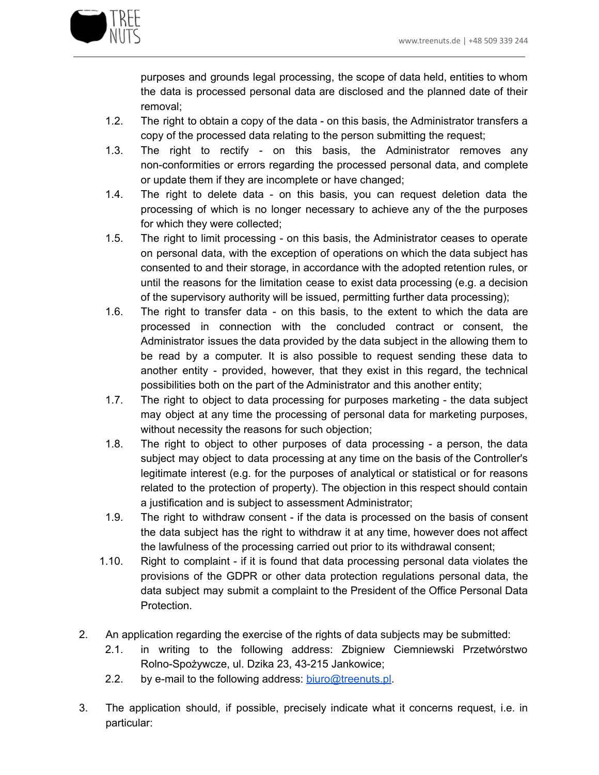

purposes and grounds legal processing, the scope of data held, entities to whom the data is processed personal data are disclosed and the planned date of their removal;

- 1.2. The right to obtain a copy of the data on this basis, the Administrator transfers a copy of the processed data relating to the person submitting the request;
- 1.3. The right to rectify on this basis, the Administrator removes any non-conformities or errors regarding the processed personal data, and complete or update them if they are incomplete or have changed;
- 1.4. The right to delete data on this basis, you can request deletion data the processing of which is no longer necessary to achieve any of the the purposes for which they were collected;
- 1.5. The right to limit processing on this basis, the Administrator ceases to operate on personal data, with the exception of operations on which the data subject has consented to and their storage, in accordance with the adopted retention rules, or until the reasons for the limitation cease to exist data processing (e.g. a decision of the supervisory authority will be issued, permitting further data processing);
- 1.6. The right to transfer data on this basis, to the extent to which the data are processed in connection with the concluded contract or consent, the Administrator issues the data provided by the data subject in the allowing them to be read by a computer. It is also possible to request sending these data to another entity - provided, however, that they exist in this regard, the technical possibilities both on the part of the Administrator and this another entity;
- 1.7. The right to object to data processing for purposes marketing the data subject may object at any time the processing of personal data for marketing purposes, without necessity the reasons for such objection;
- 1.8. The right to object to other purposes of data processing a person, the data subject may object to data processing at any time on the basis of the Controller's legitimate interest (e.g. for the purposes of analytical or statistical or for reasons related to the protection of property). The objection in this respect should contain a justification and is subject to assessment Administrator;
- 1.9. The right to withdraw consent if the data is processed on the basis of consent the data subject has the right to withdraw it at any time, however does not affect the lawfulness of the processing carried out prior to its withdrawal consent;
- 1.10. Right to complaint if it is found that data processing personal data violates the provisions of the GDPR or other data protection regulations personal data, the data subject may submit a complaint to the President of the Office Personal Data Protection.
- 2. An application regarding the exercise of the rights of data subjects may be submitted:
	- 2.1. in writing to the following address: Zbigniew Ciemniewski Przetwórstwo Rolno-Spożywcze, ul. Dzika 23, 43-215 Jankowice;
	- 2.2. by e-mail to the following address: [biuro@treenuts.pl](mailto:biuro@treenuts.pl).
- 3. The application should, if possible, precisely indicate what it concerns request, i.e. in particular: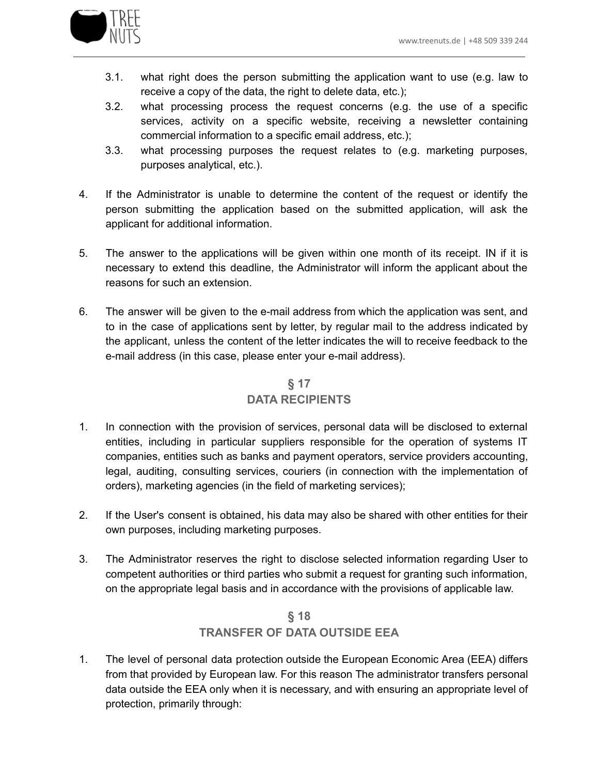

- 3.1. what right does the person submitting the application want to use (e.g. law to receive a copy of the data, the right to delete data, etc.);
- 3.2. what processing process the request concerns (e.g. the use of a specific services, activity on a specific website, receiving a newsletter containing commercial information to a specific email address, etc.);
- 3.3. what processing purposes the request relates to (e.g. marketing purposes, purposes analytical, etc.).
- 4. If the Administrator is unable to determine the content of the request or identify the person submitting the application based on the submitted application, will ask the applicant for additional information.
- 5. The answer to the applications will be given within one month of its receipt. IN if it is necessary to extend this deadline, the Administrator will inform the applicant about the reasons for such an extension.
- 6. The answer will be given to the e-mail address from which the application was sent, and to in the case of applications sent by letter, by regular mail to the address indicated by the applicant, unless the content of the letter indicates the will to receive feedback to the e-mail address (in this case, please enter your e-mail address).

# **§ 17 DATA RECIPIENTS**

- 1. In connection with the provision of services, personal data will be disclosed to external entities, including in particular suppliers responsible for the operation of systems IT companies, entities such as banks and payment operators, service providers accounting, legal, auditing, consulting services, couriers (in connection with the implementation of orders), marketing agencies (in the field of marketing services);
- 2. If the User's consent is obtained, his data may also be shared with other entities for their own purposes, including marketing purposes.
- 3. The Administrator reserves the right to disclose selected information regarding User to competent authorities or third parties who submit a request for granting such information, on the appropriate legal basis and in accordance with the provisions of applicable law.

## **§ 18 TRANSFER OF DATA OUTSIDE EEA**

1. The level of personal data protection outside the European Economic Area (EEA) differs from that provided by European law. For this reason The administrator transfers personal data outside the EEA only when it is necessary, and with ensuring an appropriate level of protection, primarily through: